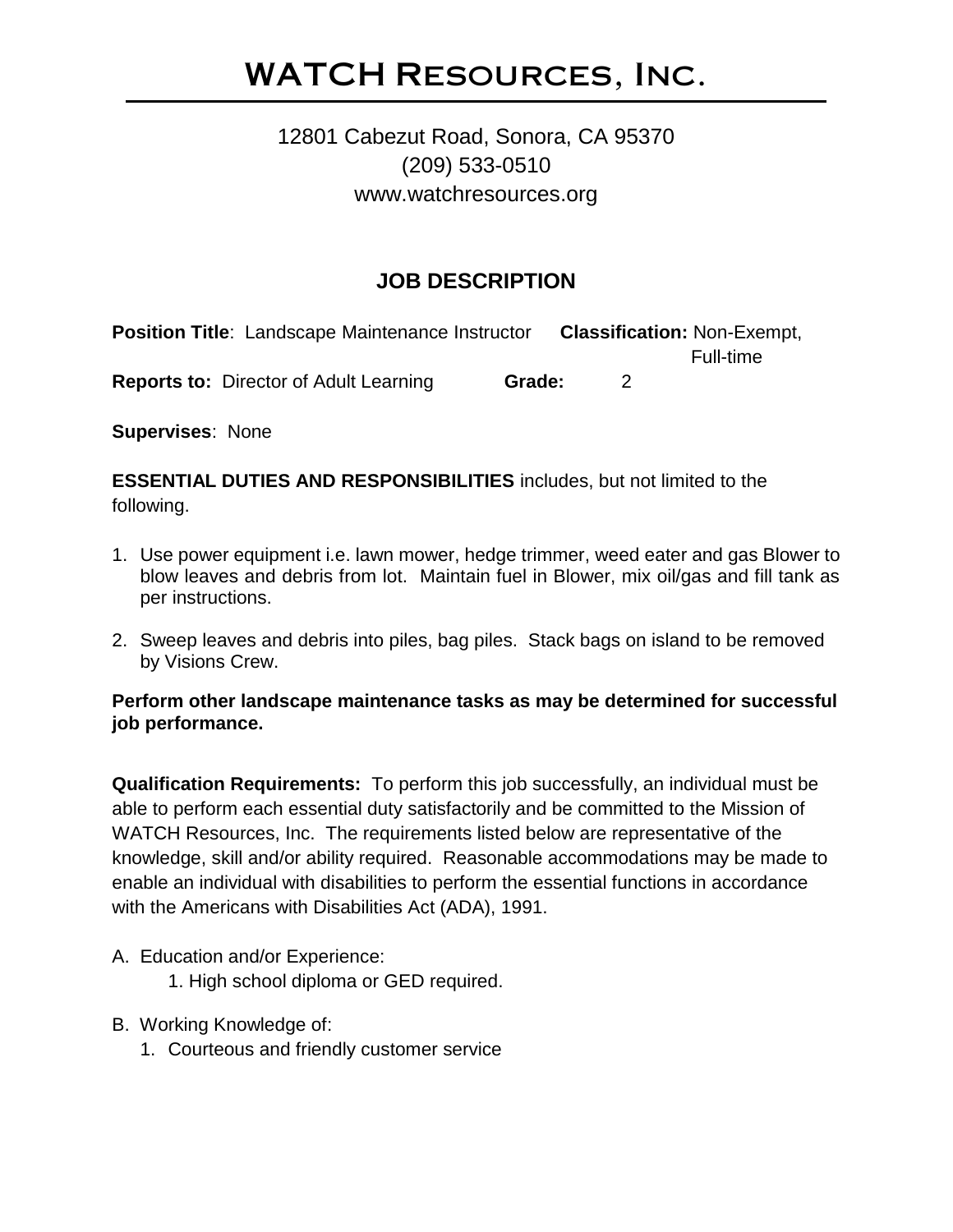# WATCH Resources, Inc.

## 12801 Cabezut Road, Sonora, CA 95370 (209) 533-0510 www.watchresources.org

## **JOB DESCRIPTION**

**Position Title**: Landscape Maintenance Instructor **Classification:** Non-Exempt, Full-time **Reports to:** Director of Adult Learning **Grade:** 2

**Supervises**: None

**ESSENTIAL DUTIES AND RESPONSIBILITIES** includes, but not limited to the following.

- 1. Use power equipment i.e. lawn mower, hedge trimmer, weed eater and gas Blower to blow leaves and debris from lot. Maintain fuel in Blower, mix oil/gas and fill tank as per instructions.
- 2. Sweep leaves and debris into piles, bag piles. Stack bags on island to be removed by Visions Crew.

#### **Perform other landscape maintenance tasks as may be determined for successful job performance.**

**Qualification Requirements:** To perform this job successfully, an individual must be able to perform each essential duty satisfactorily and be committed to the Mission of WATCH Resources, Inc. The requirements listed below are representative of the knowledge, skill and/or ability required. Reasonable accommodations may be made to enable an individual with disabilities to perform the essential functions in accordance with the Americans with Disabilities Act (ADA), 1991.

A. Education and/or Experience:

1. High school diploma or GED required.

- B. Working Knowledge of:
	- 1. Courteous and friendly customer service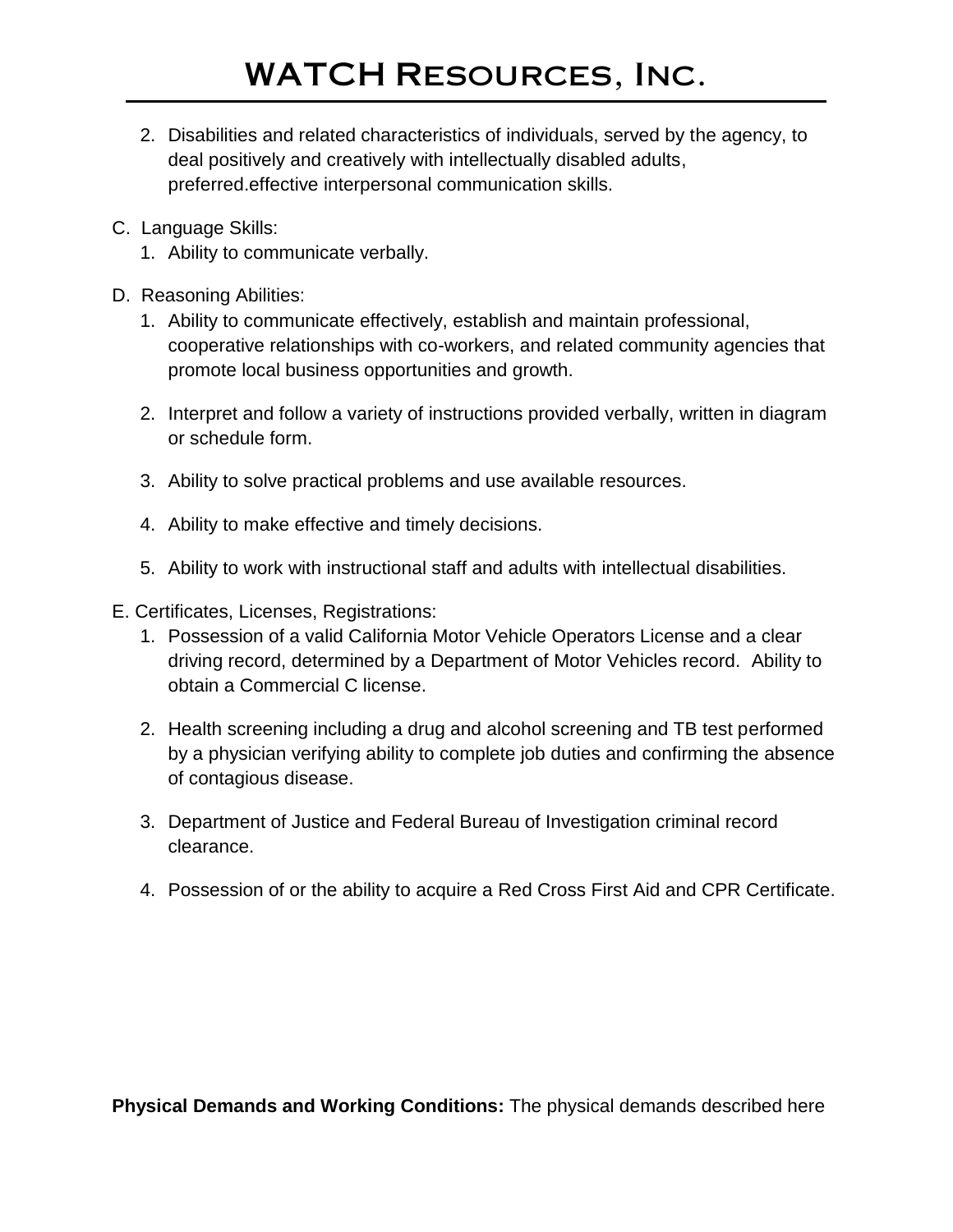- 2. Disabilities and related characteristics of individuals, served by the agency, to deal positively and creatively with intellectually disabled adults, preferred.effective interpersonal communication skills.
- C. Language Skills:
	- 1. Ability to communicate verbally.
- D. Reasoning Abilities:
	- 1. Ability to communicate effectively, establish and maintain professional, cooperative relationships with co-workers, and related community agencies that promote local business opportunities and growth.
	- 2. Interpret and follow a variety of instructions provided verbally, written in diagram or schedule form.
	- 3. Ability to solve practical problems and use available resources.
	- 4. Ability to make effective and timely decisions.
	- 5. Ability to work with instructional staff and adults with intellectual disabilities.
- E. Certificates, Licenses, Registrations:
	- 1. Possession of a valid California Motor Vehicle Operators License and a clear driving record, determined by a Department of Motor Vehicles record. Ability to obtain a Commercial C license.
	- 2. Health screening including a drug and alcohol screening and TB test performed by a physician verifying ability to complete job duties and confirming the absence of contagious disease.
	- 3. Department of Justice and Federal Bureau of Investigation criminal record clearance.
	- 4. Possession of or the ability to acquire a Red Cross First Aid and CPR Certificate.

**Physical Demands and Working Conditions:** The physical demands described here